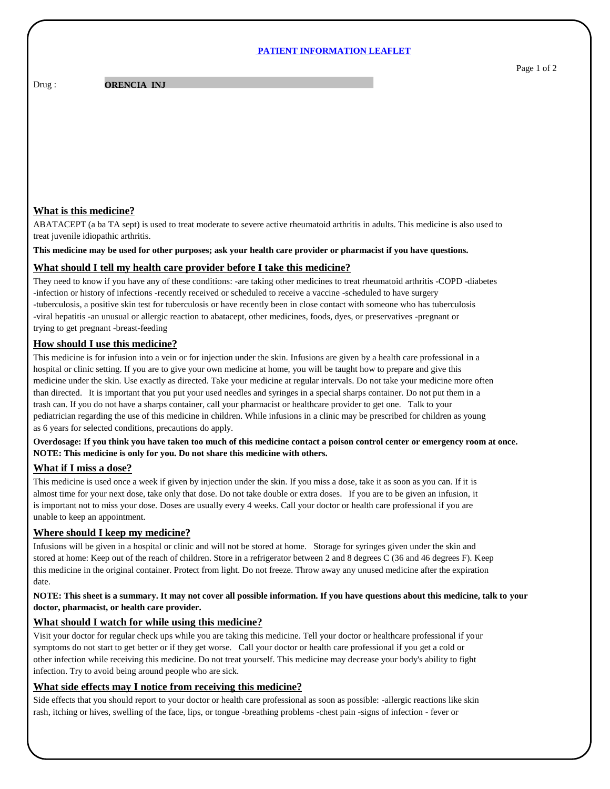#### **PATIENT INFORMATION LEAFLET**

**ORENCIA INJ** 

Drug :

# **What is this medicine?**

ABATACEPT (a ba TA sept) is used to treat moderate to severe active rheumatoid arthritis in adults. This medicine is also used to treat juvenile idiopathic arthritis.

**This medicine may be used for other purposes; ask your health care provider or pharmacist if you have questions.**

# **What should I tell my health care provider before I take this medicine?**

They need to know if you have any of these conditions: -are taking other medicines to treat rheumatoid arthritis -COPD -diabetes -infection or history of infections -recently received or scheduled to receive a vaccine -scheduled to have surgery -tuberculosis, a positive skin test for tuberculosis or have recently been in close contact with someone who has tuberculosis -viral hepatitis -an unusual or allergic reaction to abatacept, other medicines, foods, dyes, or preservatives -pregnant or trying to get pregnant -breast-feeding

# **How should I use this medicine?**

This medicine is for infusion into a vein or for injection under the skin. Infusions are given by a health care professional in a hospital or clinic setting. If you are to give your own medicine at home, you will be taught how to prepare and give this medicine under the skin. Use exactly as directed. Take your medicine at regular intervals. Do not take your medicine more often than directed. It is important that you put your used needles and syringes in a special sharps container. Do not put them in a trash can. If you do not have a sharps container, call your pharmacist or healthcare provider to get one. Talk to your pediatrician regarding the use of this medicine in children. While infusions in a clinic may be prescribed for children as young as 6 years for selected conditions, precautions do apply.

# **Overdosage: If you think you have taken too much of this medicine contact a poison control center or emergency room at once. NOTE: This medicine is only for you. Do not share this medicine with others.**

# **What if I miss a dose?**

This medicine is used once a week if given by injection under the skin. If you miss a dose, take it as soon as you can. If it is almost time for your next dose, take only that dose. Do not take double or extra doses. If you are to be given an infusion, it is important not to miss your dose. Doses are usually every 4 weeks. Call your doctor or health care professional if you are unable to keep an appointment.

### **Where should I keep my medicine?**

Infusions will be given in a hospital or clinic and will not be stored at home. Storage for syringes given under the skin and stored at home: Keep out of the reach of children. Store in a refrigerator between 2 and 8 degrees C (36 and 46 degrees F). Keep this medicine in the original container. Protect from light. Do not freeze. Throw away any unused medicine after the expiration date.

## **NOTE: This sheet is a summary. It may not cover all possible information. If you have questions about this medicine, talk to your doctor, pharmacist, or health care provider.**

# **What should I watch for while using this medicine?**

Visit your doctor for regular check ups while you are taking this medicine. Tell your doctor or healthcare professional if your symptoms do not start to get better or if they get worse. Call your doctor or health care professional if you get a cold or other infection while receiving this medicine. Do not treat yourself. This medicine may decrease your body's ability to fight infection. Try to avoid being around people who are sick.

### **What side effects may I notice from receiving this medicine?**

Side effects that you should report to your doctor or health care professional as soon as possible: -allergic reactions like skin rash, itching or hives, swelling of the face, lips, or tongue -breathing problems -chest pain -signs of infection - fever or